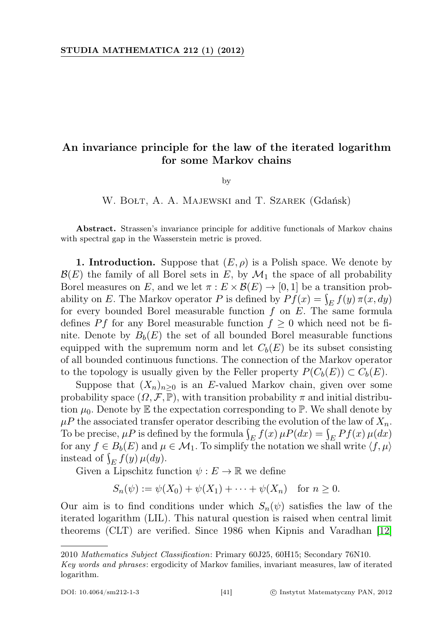## An invariance principle for the law of the iterated logarithm for some Markov chains

by

W. BOŁT, A. A. MAJEWSKI and T. SZAREK (Gdańsk)

Abstract. Strassen's invariance principle for additive functionals of Markov chains with spectral gap in the Wasserstein metric is proved.

**1. Introduction.** Suppose that  $(E, \rho)$  is a Polish space. We denote by  $\mathcal{B}(E)$  the family of all Borel sets in E, by  $\mathcal{M}_1$  the space of all probability Borel measures on E, and we let  $\pi : E \times \mathcal{B}(E) \to [0,1]$  be a transition probability on E. The Markov operator P is defined by  $Pf(x) = \int_E f(y) \pi(x, dy)$ for every bounded Borel measurable function  $f$  on  $E$ . The same formula defines P f for any Borel measurable function  $f \geq 0$  which need not be finite. Denote by  $B_b(E)$  the set of all bounded Borel measurable functions equipped with the supremum norm and let  $C_b(E)$  be its subset consisting of all bounded continuous functions. The connection of the Markov operator to the topology is usually given by the Feller property  $P(C_b(E)) \subset C_b(E)$ .

Suppose that  $(X_n)_{n>0}$  is an E-valued Markov chain, given over some probability space  $(\Omega, \mathcal{F}, \mathbb{P})$ , with transition probability  $\pi$  and initial distribution  $\mu_0$ . Denote by E the expectation corresponding to P. We shall denote by  $\mu P$  the associated transfer operator describing the evolution of the law of  $X_n$ . To be precise,  $\mu P$  is defined by the formula  $\int_E f(x) \mu P(dx) = \int_E Pf(x) \mu(dx)$ for any  $f \in B_b(E)$  and  $\mu \in \mathcal{M}_1$ . To simplify the notation we shall write  $\langle f, \mu \rangle$ instead of  $\int_E f(y) \mu(dy)$ .

Given a Lipschitz function  $\psi : E \to \mathbb{R}$  we define

$$
S_n(\psi) := \psi(X_0) + \psi(X_1) + \dots + \psi(X_n) \text{ for } n \ge 0.
$$

Our aim is to find conditions under which  $S_n(\psi)$  satisfies the law of the iterated logarithm (LIL). This natural question is raised when central limit theorems (CLT) are verified. Since 1986 when Kipnis and Varadhan [\[12\]](#page-12-0)

<sup>2010</sup> Mathematics Subject Classification: Primary 60J25, 60H15; Secondary 76N10.

Key words and phrases: ergodicity of Markov families, invariant measures, law of iterated logarithm.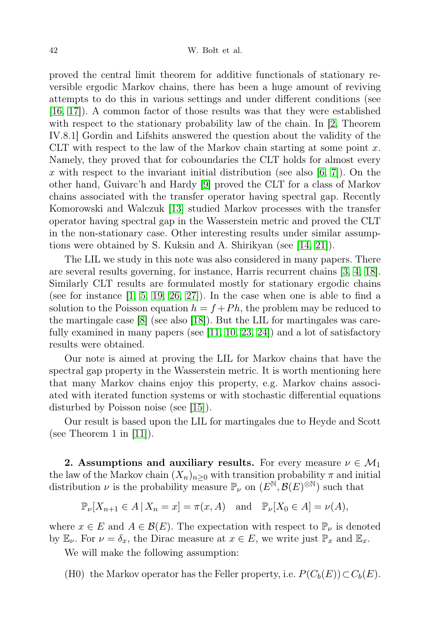proved the central limit theorem for additive functionals of stationary reversible ergodic Markov chains, there has been a huge amount of reviving attempts to do this in various settings and under different conditions (see [\[16,](#page-12-1) [17\]](#page-12-2)). A common factor of those results was that they were established with respect to the stationary probability law of the chain. In [\[2,](#page-11-0) Theorem IV.8.1] Gordin and Lifshits answered the question about the validity of the CLT with respect to the law of the Markov chain starting at some point  $x$ . Namely, they proved that for coboundaries the CLT holds for almost every x with respect to the invariant initial distribution (see also  $[6, 7]$  $[6, 7]$ ). On the other hand, Guivarc'h and Hardy [\[9\]](#page-11-3) proved the CLT for a class of Markov chains associated with the transfer operator having spectral gap. Recently Komorowski and Walczuk [\[13\]](#page-12-3) studied Markov processes with the transfer operator having spectral gap in the Wasserstein metric and proved the CLT in the non-stationary case. Other interesting results under similar assumptions were obtained by S. Kuksin and A. Shirikyan (see [\[14,](#page-12-4) [21\]](#page-12-5)).

The LIL we study in this note was also considered in many papers. There are several results governing, for instance, Harris recurrent chains [\[3,](#page-11-4) [4,](#page-11-5) [18\]](#page-12-6). Similarly CLT results are formulated mostly for stationary ergodic chains (see for instance  $(1, 5, 19, 26, 27)$  $(1, 5, 19, 26, 27)$  $(1, 5, 19, 26, 27)$  $(1, 5, 19, 26, 27)$  $(1, 5, 19, 26, 27)$ ). In the case when one is able to find a solution to the Poisson equation  $h = f + Ph$ , the problem may be reduced to the martingale case [\[8\]](#page-11-8) (see also [\[18\]](#page-12-6)). But the LIL for martingales was carefully examined in many papers (see [\[11,](#page-11-9) [10,](#page-11-10) [23,](#page-12-10) [24\]](#page-12-11)) and a lot of satisfactory results were obtained.

Our note is aimed at proving the LIL for Markov chains that have the spectral gap property in the Wasserstein metric. It is worth mentioning here that many Markov chains enjoy this property, e.g. Markov chains associated with iterated function systems or with stochastic differential equations disturbed by Poisson noise (see [\[15\]](#page-12-12)).

Our result is based upon the LIL for martingales due to Heyde and Scott (see Theorem 1 in  $[11]$ ).

2. Assumptions and auxiliary results. For every measure  $\nu \in M_1$ the law of the Markov chain  $(X_n)_{n>0}$  with transition probability  $\pi$  and initial distribution  $\nu$  is the probability measure  $\mathbb{P}_{\nu}$  on  $(E^{\mathbb{N}}, \mathcal{B}(E)^{\otimes \mathbb{N}})$  such that

$$
\mathbb{P}_{\nu}[X_{n+1} \in A \,|\, X_n = x] = \pi(x, A) \quad \text{and} \quad \mathbb{P}_{\nu}[X_0 \in A] = \nu(A),
$$

where  $x \in E$  and  $A \in \mathcal{B}(E)$ . The expectation with respect to  $\mathbb{P}_{\nu}$  is denoted by  $\mathbb{E}_{\nu}$ . For  $\nu = \delta_x$ , the Dirac measure at  $x \in E$ , we write just  $\mathbb{P}_x$  and  $\mathbb{E}_x$ .

We will make the following assumption:

(H0) the Markov operator has the Feller property, i.e.  $P(C_b(E)) \subset C_b(E)$ .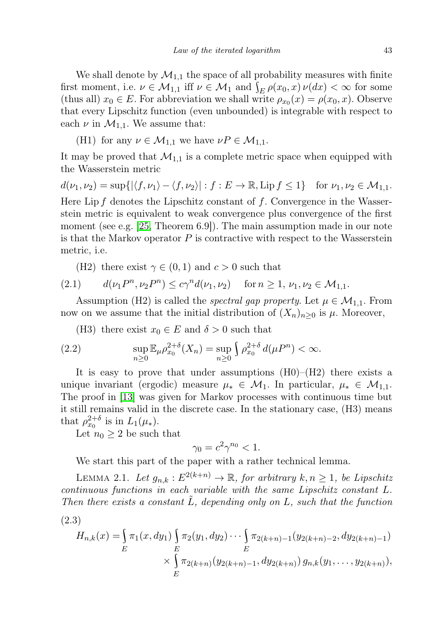We shall denote by  $\mathcal{M}_{1,1}$  the space of all probability measures with finite first moment, i.e.  $\nu \in M_{1,1}$  iff  $\nu \in M_1$  and  $\int_E \rho(x_0, x) \nu(dx) < \infty$  for some (thus all)  $x_0 \in E$ . For abbreviation we shall write  $\rho_{x_0}(x) = \rho(x_0, x)$ . Observe that every Lipschitz function (even unbounded) is integrable with respect to each  $\nu$  in  $\mathcal{M}_{1,1}$ . We assume that:

(H1) for any  $\nu \in M_{1,1}$  we have  $\nu P \in M_{1,1}$ .

It may be proved that  $\mathcal{M}_{1,1}$  is a complete metric space when equipped with the Wasserstein metric

 $d(\nu_1, \nu_2) = \sup\{|f, \nu_1\rangle - \langle f, \nu_2\rangle| : f : E \to \mathbb{R}, \text{Lip } f \leq 1\}$  for  $\nu_1, \nu_2 \in \mathcal{M}_{1,1}$ . Here Lip  $f$  denotes the Lipschitz constant of  $f$ . Convergence in the Wasserstein metric is equivalent to weak convergence plus convergence of the first moment (see e.g. [\[25,](#page-12-13) Theorem 6.9]). The main assumption made in our note is that the Markov operator  $P$  is contractive with respect to the Wasserstein metric, i.e.

(H2) there exist  $\gamma \in (0,1)$  and  $c > 0$  such that

(2.1) 
$$
d(\nu_1 P^n, \nu_2 P^n) \le c\gamma^n d(\nu_1, \nu_2)
$$
 for  $n \ge 1, \nu_1, \nu_2 \in \mathcal{M}_{1,1}$ .

Assumption (H2) is called the *spectral gap property*. Let  $\mu \in M_{1,1}$ . From now on we assume that the initial distribution of  $(X_n)_{n>0}$  is  $\mu$ . Moreover,

(H3) there exist  $x_0 \in E$  and  $\delta > 0$  such that

(2.2) 
$$
\sup_{n\geq 0} \mathbb{E}_{\mu} \rho_{x_0}^{2+\delta}(X_n) = \sup_{n\geq 0} \int \rho_{x_0}^{2+\delta} d(\mu P^n) < \infty.
$$

It is easy to prove that under assumptions  $(H0)$ – $(H2)$  there exists a unique invariant (ergodic) measure  $\mu_* \in \mathcal{M}_1$ . In particular,  $\mu_* \in \mathcal{M}_{1,1}$ . The proof in [\[13\]](#page-12-3) was given for Markov processes with continuous time but it still remains valid in the discrete case. In the stationary case, (H3) means that  $\rho_{x_0}^{2+\delta}$  is in  $L_1(\mu_*)$ .

Let  $n_0 \geq 2$  be such that

$$
\gamma_0 = c^2 \gamma^{n_0} < 1.
$$

We start this part of the paper with a rather technical lemma.

LEMMA 2.1. Let  $g_{n,k}: E^{2(k+n)} \to \mathbb{R}$ , for arbitrary  $k, n \geq 1$ , be Lipschitz continuous functions in each variable with the same Lipschitz constant L. Then there exists a constant  $L$ , depending only on  $L$ , such that the function

<span id="page-2-0"></span>
$$
(2.3)
$$

$$
H_{n,k}(x) = \int_{E} \pi_1(x, dy_1) \int_{E} \pi_2(y_1, dy_2) \cdots \int_{E} \pi_{2(k+n)-1}(y_{2(k+n)-2}, dy_{2(k+n)-1})
$$
  
 
$$
\times \int_{E} \pi_{2(k+n)}(y_{2(k+n)-1}, dy_{2(k+n)}) g_{n,k}(y_1, \dots, y_{2(k+n)}),
$$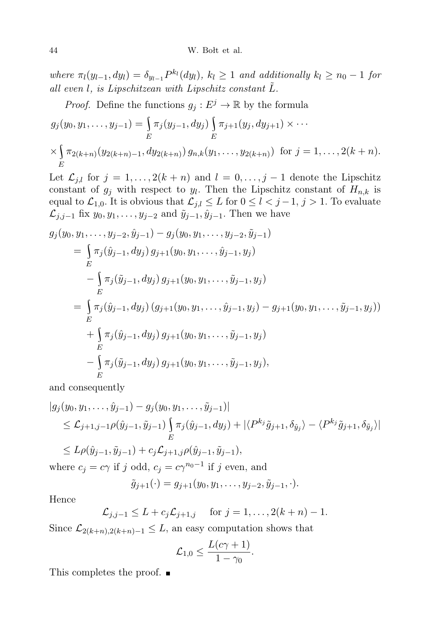where  $\pi_l(y_{l-1}, dy_l) = \delta_{y_{l-1}} P^{k_l}(dy_l)$ ,  $k_l \geq 1$  and additionally  $k_l \geq n_0 - 1$  for all even l, is Lipschitzean with Lipschitz constant  $\tilde{L}$ .

*Proof.* Define the functions  $g_j : E^j \to \mathbb{R}$  by the formula

$$
g_j(y_0, y_1, \dots, y_{j-1}) = \int_E \pi_j(y_{j-1}, dy_j) \int_E \pi_{j+1}(y_j, dy_{j+1}) \times \dots
$$
  
 
$$
\times \int_E \pi_{2(k+n)}(y_{2(k+n)-1}, dy_{2(k+n)}) g_{n,k}(y_1, \dots, y_{2(k+n)}) \text{ for } j = 1, \dots, 2(k+n).
$$

Let  $\mathcal{L}_{i,l}$  for  $j = 1, \ldots, 2(k+n)$  and  $l = 0, \ldots, j-1$  denote the Lipschitz constant of  $g_j$  with respect to  $y_l$ . Then the Lipschitz constant of  $H_{n,k}$  is equal to  $\mathcal{L}_{1,0}$ . It is obvious that  $\mathcal{L}_{j,l} \leq L$  for  $0 \leq l < j-1, j > 1$ . To evaluate  $\mathcal{L}_{j,j-1}$  fix  $y_0, y_1, \ldots, y_{j-2}$  and  $\tilde{y}_{j-1}, \hat{y}_{j-1}$ . Then we have

$$
g_j(y_0, y_1, \ldots, y_{j-2}, \hat{y}_{j-1}) - g_j(y_0, y_1, \ldots, y_{j-2}, \tilde{y}_{j-1})
$$
  
\n
$$
= \int_{E} \pi_j(\hat{y}_{j-1}, dy_j) g_{j+1}(y_0, y_1, \ldots, \hat{y}_{j-1}, y_j)
$$
  
\n
$$
- \int_{E} \pi_j(\tilde{y}_{j-1}, dy_j) g_{j+1}(y_0, y_1, \ldots, \tilde{y}_{j-1}, y_j)
$$
  
\n
$$
= \int_{E} \pi_j(\hat{y}_{j-1}, dy_j) (g_{j+1}(y_0, y_1, \ldots, \hat{y}_{j-1}, y_j) - g_{j+1}(y_0, y_1, \ldots, \tilde{y}_{j-1}, y_j))
$$
  
\n
$$
+ \int_{E} \pi_j(\hat{y}_{j-1}, dy_j) g_{j+1}(y_0, y_1, \ldots, \tilde{y}_{j-1}, y_j)
$$
  
\n
$$
- \int_{E} \pi_j(\tilde{y}_{j-1}, dy_j) g_{j+1}(y_0, y_1, \ldots, \tilde{y}_{j-1}, y_j),
$$

and consequently

$$
|g_j(y_0, y_1, \dots, \hat{y}_{j-1}) - g_j(y_0, y_1, \dots, \tilde{y}_{j-1})|
$$
  
\n
$$
\leq \mathcal{L}_{j+1, j-1} \rho(\hat{y}_{j-1}, \tilde{y}_{j-1}) \int_{E} \pi_j(\hat{y}_{j-1}, dy_j) + |\langle P^{k_j} \tilde{g}_{j+1}, \delta_{\hat{y}_j} \rangle - \langle P^{k_j} \tilde{g}_{j+1}, \delta_{\tilde{y}_j} \rangle|
$$
  
\n
$$
\leq L \rho(\hat{y}_{j-1}, \tilde{y}_{j-1}) + c_j \mathcal{L}_{j+1, j} \rho(\hat{y}_{j-1}, \tilde{y}_{j-1}),
$$

where  $c_j = c\gamma$  if j odd,  $c_j = c\gamma^{n_0-1}$  if j even, and

$$
\tilde{g}_{j+1}(\cdot) = g_{j+1}(y_0, y_1, \ldots, y_{j-2}, \tilde{y}_{j-1}, \cdot).
$$

Hence

$$
\mathcal{L}_{j,j-1} \leq L + c_j \mathcal{L}_{j+1,j}
$$
 for  $j = 1, ..., 2(k+n) - 1$ .

Since  $\mathcal{L}_{2(k+n),2(k+n)-1} \leq L$ , an easy computation shows that

$$
\mathcal{L}_{1,0} \leq \frac{L(c\gamma + 1)}{1 - \gamma_0}.
$$

This completes the proof. ■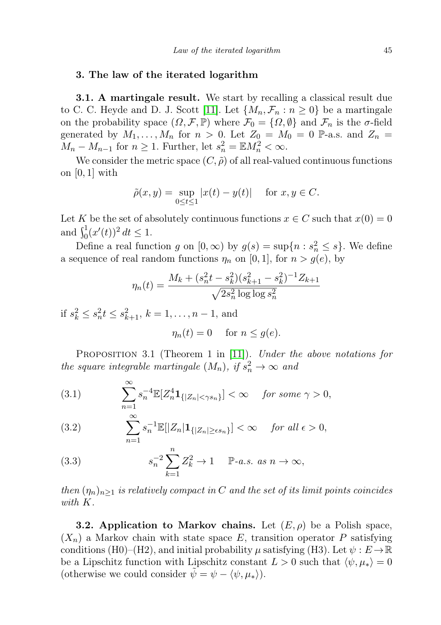## 3. The law of the iterated logarithm

3.1. A martingale result. We start by recalling a classical result due to C. C. Heyde and D. J. Scott [\[11\]](#page-11-9). Let  $\{M_n, \mathcal{F}_n : n \geq 0\}$  be a martingale on the probability space  $(\Omega, \mathcal{F}, \mathbb{P})$  where  $\mathcal{F}_0 = {\Omega, \emptyset}$  and  $\mathcal{F}_n$  is the  $\sigma$ -field generated by  $M_1, \ldots, M_n$  for  $n > 0$ . Let  $Z_0 = M_0 = 0$  P-a.s. and  $Z_n =$  $M_n - M_{n-1}$  for  $n \ge 1$ . Further, let  $s_n^2 = \mathbb{E} M_n^2 < \infty$ .

We consider the metric space  $(C, \tilde{\rho})$  of all real-valued continuous functions on [0, 1] with

$$
\tilde{\rho}(x, y) = \sup_{0 \le t \le 1} |x(t) - y(t)| \quad \text{ for } x, y \in C.
$$

Let K be the set of absolutely continuous functions  $x \in C$  such that  $x(0) = 0$ and  $\int_0^1 (x'(t))^2 dt \le 1$ .

Define a real function g on  $[0, \infty)$  by  $g(s) = \sup\{n : s_n^2 \leq s\}$ . We define a sequence of real random functions  $\eta_n$  on [0, 1], for  $n > g(e)$ , by

$$
\eta_n(t) = \frac{M_k + (s_n^2 t - s_k^2)(s_{k+1}^2 - s_k^2)^{-1} Z_{k+1}}{\sqrt{2s_n^2 \log \log s_n^2}}
$$

if  $s_k^2 \leq s_n^2 t \leq s_{k+1}^2$ ,  $k = 1, ..., n-1$ , and

$$
\eta_n(t) = 0 \quad \text{ for } n \le g(e).
$$

PROPOSITION 3.1 (Theorem 1 in [\[11\]](#page-11-9)). Under the above notations for the square integrable martingale  $(M_n)$ , if  $s_n^2 \to \infty$  and

<span id="page-4-1"></span>(3.1) 
$$
\sum_{n=1}^{\infty} s_n^{-4} \mathbb{E}[Z_n^4 \mathbf{1}_{\{|Z_n| < \gamma s_n\}}] < \infty \quad \text{for some } \gamma > 0,
$$

<span id="page-4-2"></span>(3.2) 
$$
\sum_{n=1}^{\infty} s_n^{-1} \mathbb{E}[|Z_n| \mathbf{1}_{\{|Z_n| \ge \epsilon s_n\}}] < \infty \quad \text{for all } \epsilon > 0,
$$

<span id="page-4-0"></span>(3.3) 
$$
s_n^{-2} \sum_{k=1}^n Z_k^2 \to 1 \quad \mathbb{P}\text{-}a.s. \text{ as } n \to \infty,
$$

then  $(\eta_n)_{n\geq 1}$  is relatively compact in C and the set of its limit points coincides with K.

**3.2. Application to Markov chains.** Let  $(E, \rho)$  be a Polish space,  $(X_n)$  a Markov chain with state space E, transition operator P satisfying conditions (H0)–(H2), and initial probability  $\mu$  satisfying (H3). Let  $\psi : E \to \mathbb{R}$ be a Lipschitz function with Lipschitz constant  $L > 0$  such that  $\langle \psi, \mu_* \rangle = 0$ (otherwise we could consider  $\tilde{\psi} = \psi - \langle \psi, \mu_* \rangle$ ).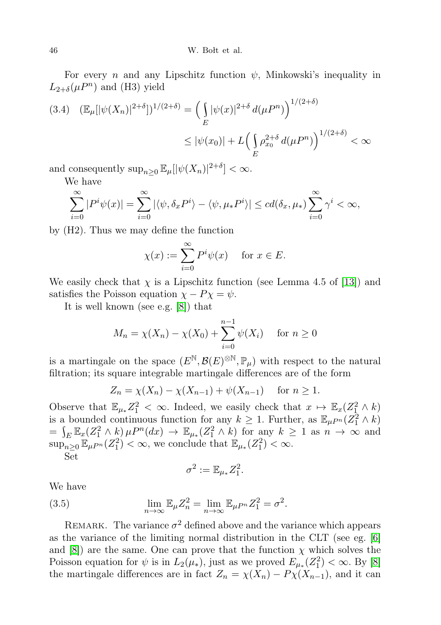For every *n* and any Lipschitz function  $\psi$ , Minkowski's inequality in  $L_{2+\delta}(\mu P^n)$  and (H3) yield

<span id="page-5-0"></span>
$$
(3.4) \quad (\mathbb{E}_{\mu}[\|\psi(X_n)|^{2+\delta}])^{1/(2+\delta)} = \left(\int_{E} |\psi(x)|^{2+\delta} d(\mu P^n)\right)^{1/(2+\delta)}
$$

$$
\leq |\psi(x_0)| + L\left(\int_{E} \rho_{x_0}^{2+\delta} d(\mu P^n)\right)^{1/(2+\delta)} < \infty
$$

and consequently  $\sup_{n\geq 0} \mathbb{E}_{\mu} [|\psi(X_n)|^{2+\delta}] < \infty$ .

We have

$$
\sum_{i=0}^{\infty} |P^i \psi(x)| = \sum_{i=0}^{\infty} |\langle \psi, \delta_x P^i \rangle - \langle \psi, \mu_* P^i \rangle| \le c d(\delta_x, \mu_*) \sum_{i=0}^{\infty} \gamma^i < \infty,
$$

by (H2). Thus we may define the function

$$
\chi(x) := \sum_{i=0}^{\infty} P^i \psi(x) \quad \text{ for } x \in E.
$$

We easily check that  $\chi$  is a Lipschitz function (see Lemma 4.5 of [\[13\]](#page-12-3)) and satisfies the Poisson equation  $\chi - P\chi = \psi$ .

It is well known (see e.g. [\[8\]](#page-11-8)) that

$$
M_n = \chi(X_n) - \chi(X_0) + \sum_{i=0}^{n-1} \psi(X_i) \quad \text{for } n \ge 0
$$

is a martingale on the space  $(E^{\mathbb{N}}, \mathcal{B}(E)^{\otimes \mathbb{N}}, \mathbb{P}_{\mu})$  with respect to the natural filtration; its square integrable martingale differences are of the form

$$
Z_n = \chi(X_n) - \chi(X_{n-1}) + \psi(X_{n-1}) \quad \text{for } n \ge 1.
$$

Observe that  $\mathbb{E}_{\mu_*}Z_1^2 < \infty$ . Indeed, we easily check that  $x \mapsto \mathbb{E}_x(Z_1^2 \wedge k)$ is a bounded continuous function for any  $k \geq 1$ . Further, as  $\mathbb{E}_{\mu}P^{n}(Z_{1}^{2} \wedge k)$  $=\int_E \mathbb{E}_x(Z_1^2 \wedge k) \mu P^n(dx) \to \mathbb{E}_{\mu_*}(Z_1^2 \wedge k)$  for any  $k \geq 1$  as  $n \to \infty$  and  $\sup_{n\geq 0}^{\infty} \mathbb{E}_{\mu} P^n(Z_1^2) < \infty$ , we conclude that  $\mathbb{E}_{\mu_*}(Z_1^2) < \infty$ .

Set

<span id="page-5-1"></span>
$$
\sigma^2 := \mathbb{E}_{\mu_*} Z_1^2.
$$

We have

(3.5) 
$$
\lim_{n \to \infty} \mathbb{E}_{\mu} Z_n^2 = \lim_{n \to \infty} \mathbb{E}_{\mu} P^n Z_1^2 = \sigma^2.
$$

REMARK. The variance  $\sigma^2$  defined above and the variance which appears as the variance of the limiting normal distribution in the CLT (see eg. [\[6\]](#page-11-1) and [\[8\]](#page-11-8)) are the same. One can prove that the function  $\chi$  which solves the Poisson equation for  $\psi$  is in  $L_2(\mu_*)$ , just as we proved  $E_{\mu_*}(Z_1^2) < \infty$ . By [\[8\]](#page-11-8) the martingale differences are in fact  $Z_n = \chi(X_n) - P\chi(X_{n-1})$ , and it can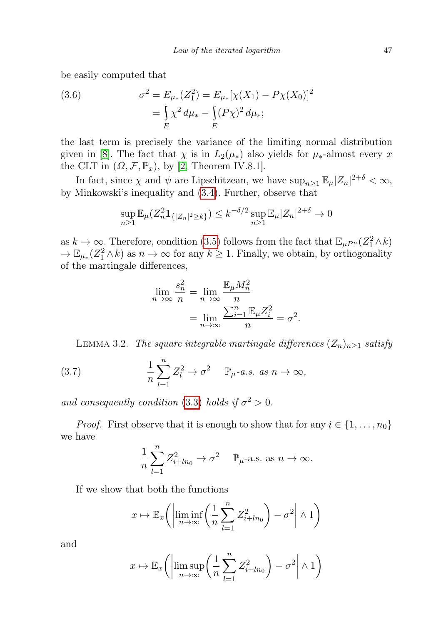be easily computed that

(3.6) 
$$
\sigma^2 = E_{\mu_*}(Z_1^2) = E_{\mu_*}[\chi(X_1) - P\chi(X_0)]^2
$$

$$
= \int_{E} \chi^2 d\mu_* - \int_{E} (P\chi)^2 d\mu_*;
$$

the last term is precisely the variance of the limiting normal distribution given in [\[8\]](#page-11-8). The fact that  $\chi$  is in  $L_2(\mu_*)$  also yields for  $\mu_*$ -almost every x the CLT in  $(\Omega, \mathcal{F}, \mathbb{P}_x)$ , by [\[2,](#page-11-0) Theorem IV.8.1].

In fact, since  $\chi$  and  $\psi$  are Lipschitzean, we have  $\sup_{n\geq 1} \mathbb{E}_{\mu} |Z_n|^{2+\delta} < \infty$ , by Minkowski's inequality and [\(3.4\)](#page-5-0). Further, observe that

$$
\sup_{n\geq 1} \mathbb{E}_{\mu}(Z_n^2 \mathbf{1}_{\{|Z_n|^2 \geq k\}}) \leq k^{-\delta/2} \sup_{n\geq 1} \mathbb{E}_{\mu} |Z_n|^{2+\delta} \to 0
$$

as  $k \to \infty$ . Therefore, condition [\(3.5\)](#page-5-1) follows from the fact that  $\mathbb{E}_{\mu}P^{n}(Z_1^2 \wedge k)$  $\to \mathbb{E}_{\mu_*}(Z_1^2 \wedge k)$  as  $n \to \infty$  for any  $k \geq 1$ . Finally, we obtain, by orthogonality of the martingale differences,

$$
\lim_{n \to \infty} \frac{s_n^2}{n} = \lim_{n \to \infty} \frac{\mathbb{E}_{\mu} M_n^2}{n}
$$

$$
= \lim_{n \to \infty} \frac{\sum_{i=1}^n \mathbb{E}_{\mu} Z_i^2}{n} = \sigma^2.
$$

LEMMA 3.2. The square integrable martingale differences  $(Z_n)_{n>1}$  satisfy

(3.7) 
$$
\frac{1}{n}\sum_{l=1}^{n} Z_{l}^{2} \to \sigma^{2} \quad \mathbb{P}_{\mu} \text{-} a.s. \text{ as } n \to \infty,
$$

and consequently condition [\(3](#page-4-0).3) holds if  $\sigma^2 > 0$ .

*Proof.* First observe that it is enough to show that for any  $i \in \{1, \ldots, n_0\}$ we have

$$
\frac{1}{n}\sum_{l=1}^{n}Z_{i+ln_{0}}^{2}\to\sigma^{2}\quad\mathbb{P}_{\mu}\text{-a.s. as }n\to\infty.
$$

If we show that both the functions

$$
x \mapsto \mathbb{E}_x \bigg( \bigg| \liminf_{n \to \infty} \bigg( \frac{1}{n} \sum_{l=1}^n Z_{i+ln_0}^2 \bigg) - \sigma^2 \bigg| \wedge 1 \bigg)
$$

and

$$
x \mapsto \mathbb{E}_x \bigg( \bigg| \limsup_{n \to \infty} \bigg( \frac{1}{n} \sum_{l=1}^n Z_{i+ln_0}^2 \bigg) - \sigma^2 \bigg| \wedge 1 \bigg)
$$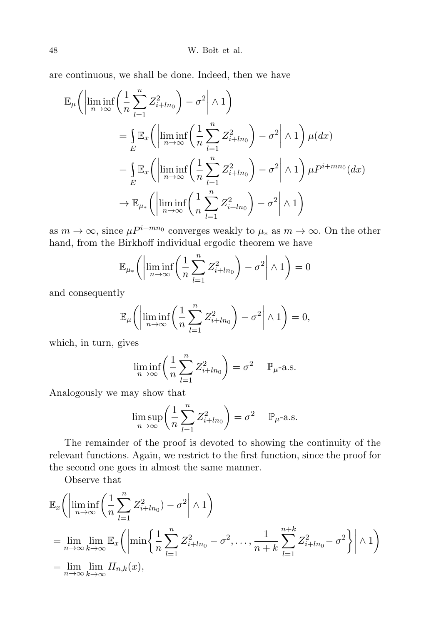are continuous, we shall be done. Indeed, then we have

$$
\mathbb{E}_{\mu}\left(\left|\liminf_{n\to\infty}\left(\frac{1}{n}\sum_{l=1}^{n}Z_{i+ln_{0}}^{2}\right)-\sigma^{2}\right|\wedge 1\right) \n= \int_{E}\mathbb{E}_{x}\left(\left|\liminf_{n\to\infty}\left(\frac{1}{n}\sum_{l=1}^{n}Z_{i+ln_{0}}^{2}\right)-\sigma^{2}\right|\wedge 1\right)\mu(dx) \n= \int_{E}\mathbb{E}_{x}\left(\left|\liminf_{n\to\infty}\left(\frac{1}{n}\sum_{l=1}^{n}Z_{i+ln_{0}}^{2}\right)-\sigma^{2}\right|\wedge 1\right)\mu P^{i+mn_{0}}(dx) \n\to \mathbb{E}_{\mu_{*}}\left(\left|\liminf_{n\to\infty}\left(\frac{1}{n}\sum_{l=1}^{n}Z_{i+ln_{0}}^{2}\right)-\sigma^{2}\right|\wedge 1\right)
$$

as  $m \to \infty$ , since  $\mu P^{i+mn_0}$  converges weakly to  $\mu_*$  as  $m \to \infty$ . On the other hand, from the Birkhoff individual ergodic theorem we have

$$
\mathbb{E}_{\mu_*}\bigg(\bigg|\liminf_{n\to\infty}\bigg(\frac{1}{n}\sum_{l=1}^n Z_{i+ln_0}^2\bigg)-\sigma^2\bigg|\wedge 1\bigg)=0
$$

and consequently

$$
\mathbb{E}_{\mu}\bigg(\bigg|\liminf_{n\to\infty}\bigg(\frac{1}{n}\sum_{l=1}^n Z_{i+ln_0}^2\bigg)-\sigma^2\bigg|\wedge 1\bigg)=0,
$$

which, in turn, gives

$$
\liminf_{n \to \infty} \left( \frac{1}{n} \sum_{l=1}^{n} Z_{i+ln_0}^2 \right) = \sigma^2 \quad \mathbb{P}_{\mu} \text{-a.s.}
$$

Analogously we may show that

$$
\limsup_{n \to \infty} \left( \frac{1}{n} \sum_{l=1}^{n} Z_{i+ln_0}^2 \right) = \sigma^2 \quad \mathbb{P}_{\mu} \text{-a.s.}
$$

The remainder of the proof is devoted to showing the continuity of the relevant functions. Again, we restrict to the first function, since the proof for the second one goes in almost the same manner.

Observe that

$$
\mathbb{E}_{x}\left(\left|\liminf_{n\to\infty}\left(\frac{1}{n}\sum_{l=1}^{n}Z_{i+ln_{0}}^{2}\right)-\sigma^{2}\right|\wedge 1\right)
$$
\n
$$
=\lim_{n\to\infty}\lim_{k\to\infty}\mathbb{E}_{x}\left(\left|\min\left\{\frac{1}{n}\sum_{l=1}^{n}Z_{i+ln_{0}}^{2}-\sigma^{2},\ldots,\frac{1}{n+k}\sum_{l=1}^{n+k}Z_{i+ln_{0}}^{2}-\sigma^{2}\right\}\right|\wedge 1\right)
$$
\n
$$
=\lim_{n\to\infty}\lim_{k\to\infty}H_{n,k}(x),
$$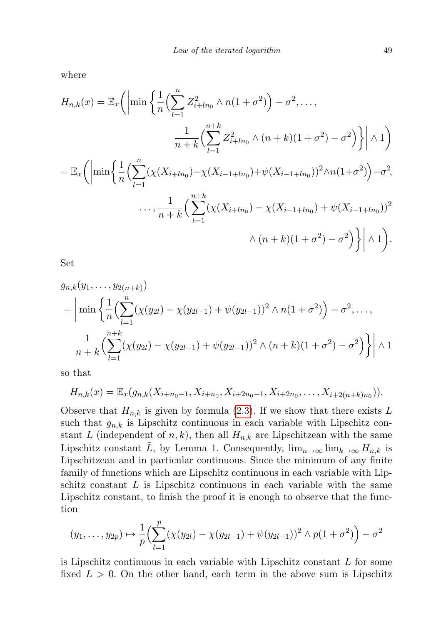where

$$
H_{n,k}(x) = \mathbb{E}_x \Big( \Big| \min \Big\{ \frac{1}{n} \Big( \sum_{l=1}^n Z_{i+ln_0}^2 \wedge n(1+\sigma^2) \Big) - \sigma^2, \dots, \frac{1}{n+k} \Big( \sum_{l=1}^{n+k} Z_{i+ln_0}^2 \wedge (n+k)(1+\sigma^2) - \sigma^2 \Big) \Big\} \Big| \wedge 1 \Big)
$$
  
= 
$$
\mathbb{E}_x \Big( \Big| \min \Big\{ \frac{1}{n} \Big( \sum_{l=1}^n (\chi(X_{i+ln_0}) - \chi(X_{i-1+ln_0}) + \psi(X_{i-1+ln_0}))^2 \wedge n(1+\sigma^2) \Big) - \sigma^2, \dots, \frac{1}{n+k} \Big( \sum_{l=1}^{n+k} (\chi(X_{i+ln_0}) - \chi(X_{i-1+ln_0}) + \psi(X_{i-1+ln_0}))^2 \Big) \Big\} \Big| \wedge 1 \Big)
$$
  

$$
\wedge (n+k)(1+\sigma^2) - \sigma^2 \Big) \Big\} \Big| \wedge 1 \Big).
$$

Set

$$
g_{n,k}(y_1,\ldots,y_{2(n+k)})
$$
  
=  $\left|\min\left\{\frac{1}{n}\left(\sum_{l=1}^n(\chi(y_{2l})-\chi(y_{2l-1})+\psi(y_{2l-1}))^2\wedge n(1+\sigma^2)\right)-\sigma^2,\ldots,\right\}\right|$   

$$
\frac{1}{n+k}\left(\sum_{l=1}^{n+k}(\chi(y_{2l})-\chi(y_{2l-1})+\psi(y_{2l-1}))^2\wedge (n+k)(1+\sigma^2)-\sigma^2\right)\right\}\right|\wedge 1
$$

so that

$$
H_{n,k}(x) = \mathbb{E}_x(g_{n,k}(X_{i+n_0-1}, X_{i+n_0}, X_{i+2n_0-1}, X_{i+2n_0}, \ldots, X_{i+2(n+k)n_0})).
$$

Observe that  $H_{n,k}$  is given by formula [\(2.3\)](#page-2-0). If we show that there exists L such that  $g_{n,k}$  is Lipschitz continuous in each variable with Lipschitz constant L (independent of  $n, k$ ), then all  $H_{n,k}$  are Lipschitzean with the same Lipschitz constant  $\tilde{L}$ , by Lemma 1. Consequently,  $\lim_{n\to\infty} \lim_{k\to\infty} H_{n,k}$  is Lipschitzean and in particular continuous. Since the minimum of any finite family of functions which are Lipschitz continuous in each variable with Lipschitz constant  $L$  is Lipschitz continuous in each variable with the same Lipschitz constant, to finish the proof it is enough to observe that the function

$$
(y_1,\ldots,y_{2p}) \mapsto \frac{1}{p} \Biggl(\sum_{l=1}^p (\chi(y_{2l}) - \chi(y_{2l-1}) + \psi(y_{2l-1}))^2 \wedge p(1+\sigma^2)\Biggr) - \sigma^2
$$

is Lipschitz continuous in each variable with Lipschitz constant  $L$  for some fixed  $L > 0$ . On the other hand, each term in the above sum is Lipschitz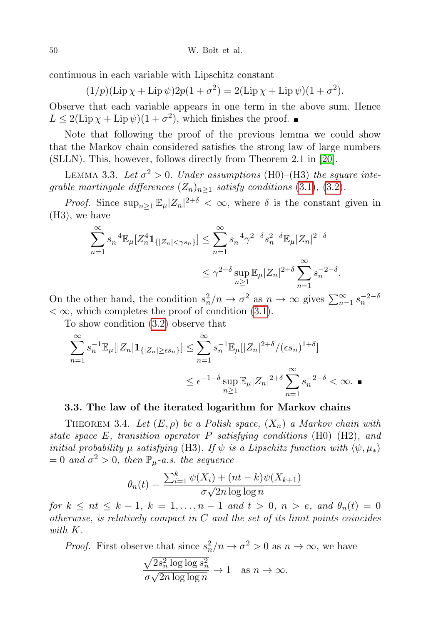continuous in each variable with Lipschitz constant

$$
(1/p)(\operatorname{Lip}\chi + \operatorname{Lip}\psi)2p(1+\sigma^2) = 2(\operatorname{Lip}\chi + \operatorname{Lip}\psi)(1+\sigma^2).
$$

Observe that each variable appears in one term in the above sum. Hence  $L \leq 2(\text{Lip }\chi + \text{Lip }\psi)(1+\sigma^2)$ , which finishes the proof.

Note that following the proof of the previous lemma we could show that the Markov chain considered satisfies the strong law of large numbers (SLLN). This, however, follows directly from Theorem 2.1 in [\[20\]](#page-12-14).

LEMMA 3.3. Let  $\sigma^2 > 0$ . Under assumptions (H0)–(H3) the square integrable martingale differences  $(Z_n)_{n>1}$  satisfy conditions [\(3.1\)](#page-4-1), [\(3.2\)](#page-4-2).

*Proof.* Since  $\sup_{n\geq 1} \mathbb{E}_{\mu} |Z_n|^{2+\delta} < \infty$ , where  $\delta$  is the constant given in (H3), we have

$$
\sum_{n=1}^{\infty} s_n^{-4} \mathbb{E}_{\mu} [Z_n^4 \mathbf{1}_{\{|Z_n| < \gamma s_n\}}] \leq \sum_{n=1}^{\infty} s_n^{-4} \gamma^{2-\delta} s_n^{2-\delta} \mathbb{E}_{\mu} |Z_n|^{2+\delta}
$$
\n
$$
\leq \gamma^{2-\delta} \sup_{n \geq 1} \mathbb{E}_{\mu} |Z_n|^{2+\delta} \sum_{n=1}^{\infty} s_n^{-2-\delta}.
$$

On the other hand, the condition  $s_n^2/n \to \sigma^2$  as  $n \to \infty$  gives  $\sum_{n=1}^{\infty} s_n^{-2-\delta}$  $< \infty$ , which completes the proof of condition [\(3.1\)](#page-4-1).

To show condition [\(3.2\)](#page-4-2) observe that

$$
\sum_{n=1}^{\infty} s_n^{-1} \mathbb{E}_{\mu}[|Z_n| \mathbf{1}_{\{|Z_n| \ge \epsilon s_n\}}] \le \sum_{n=1}^{\infty} s_n^{-1} \mathbb{E}_{\mu}[|Z_n|^{2+\delta}/(\epsilon s_n)^{1+\delta}]
$$
  

$$
\le \epsilon^{-1-\delta} \sup_{n \ge 1} \mathbb{E}_{\mu}|Z_n|^{2+\delta} \sum_{n=1}^{\infty} s_n^{-2-\delta} < \infty. \blacksquare
$$

## 3.3. The law of the iterated logarithm for Markov chains

THEOREM 3.4. Let  $(E, \rho)$  be a Polish space,  $(X_n)$  a Markov chain with state space E, transition operator P satisfying conditions  $(H0)$ – $(H2)$ , and initial probability  $\mu$  satisfying (H3). If  $\psi$  is a Lipschitz function with  $\langle \psi, \mu_* \rangle$  $= 0$  and  $\sigma^2 > 0$ , then  $\mathbb{P}_{\mu}$ -a.s. the sequence

$$
\theta_n(t) = \frac{\sum_{i=1}^k \psi(X_i) + (nt - k)\psi(X_{k+1})}{\sigma \sqrt{2n \log \log n}}
$$

for  $k \leq nt \leq k+1$ ,  $k = 1, \ldots, n-1$  and  $t > 0$ ,  $n > e$ , and  $\theta_n(t) = 0$ otherwise, is relatively compact in  $C$  and the set of its limit points coincides with K.

*Proof.* First observe that since  $s_n^2/n \to \sigma^2 > 0$  as  $n \to \infty$ , we have

$$
\frac{\sqrt{2s_n^2 \log \log s_n^2}}{\sigma \sqrt{2n \log \log n}} \to 1 \quad \text{as } n \to \infty.
$$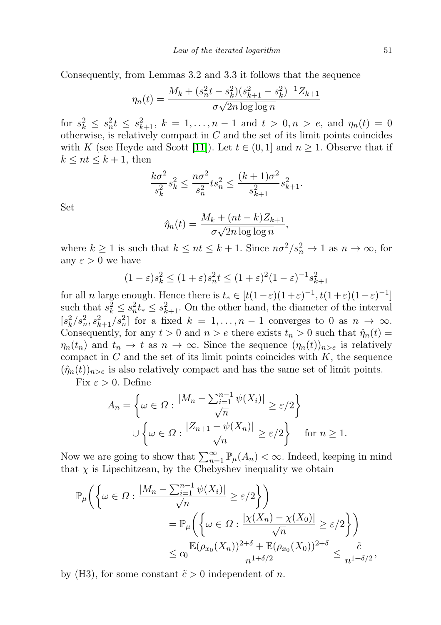Consequently, from Lemmas 3.2 and 3.3 it follows that the sequence

$$
\eta_n(t) = \frac{M_k + (s_n^2 t - s_k^2)(s_{k+1}^2 - s_k^2)^{-1} Z_{k+1}}{\sigma \sqrt{2n \log \log n}}
$$

for  $s_k^2 \leq s_n^2 t \leq s_{k+1}^2$ ,  $k = 1, ..., n-1$  and  $t > 0, n > e$ , and  $\eta_n(t) = 0$ otherwise, is relatively compact in  $C$  and the set of its limit points coincides with K (see Heyde and Scott [\[11\]](#page-11-9)). Let  $t \in (0, 1]$  and  $n \geq 1$ . Observe that if  $k \leq nt \leq k+1$ , then

$$
\frac{k\sigma^2}{s_k^2}s_k^2 \le \frac{n\sigma^2}{s_n^2}ts_n^2 \le \frac{(k+1)\sigma^2}{s_{k+1}^2}s_{k+1}^2.
$$

Set

$$
\hat{\eta}_n(t) = \frac{M_k + (nt - k)Z_{k+1}}{\sigma \sqrt{2n \log \log n}},
$$

where  $k \geq 1$  is such that  $k \leq nt \leq k+1$ . Since  $n\sigma^2/s_n^2 \to 1$  as  $n \to \infty$ , for any  $\varepsilon > 0$  we have

$$
(1 - \varepsilon)s_k^2 \le (1 + \varepsilon)s_n^2 t \le (1 + \varepsilon)^2 (1 - \varepsilon)^{-1} s_{k+1}^2
$$

for all *n* large enough. Hence there is  $t_* \in [t(1-\varepsilon)(1+\varepsilon)^{-1}, t(1+\varepsilon)(1-\varepsilon)^{-1}]$ such that  $s_k^2 \leq s_n^2 t_* \leq s_{k+1}^2$ . On the other hand, the diameter of the interval  $[s_k^2/s_n^2, s_{k+1}^2/s_n^2]$  for a fixed  $k = 1, \ldots, n-1$  converges to 0 as  $n \to \infty$ . Consequently, for any  $t > 0$  and  $n > e$  there exists  $t_n > 0$  such that  $\hat{\eta}_n(t) =$  $\eta_n(t_n)$  and  $t_n \to t$  as  $n \to \infty$ . Since the sequence  $(\eta_n(t))_{n \geq e}$  is relatively compact in  $C$  and the set of its limit points coincides with  $K$ , the sequence  $(\hat{\eta}_n(t))_{n\geq e}$  is also relatively compact and has the same set of limit points.

Fix  $\varepsilon > 0$ . Define

$$
A_n = \left\{ \omega \in \Omega : \frac{|M_n - \sum_{i=1}^{n-1} \psi(X_i)|}{\sqrt{n}} \ge \varepsilon/2 \right\}
$$
  

$$
\cup \left\{ \omega \in \Omega : \frac{|Z_{n+1} - \psi(X_n)|}{\sqrt{n}} \ge \varepsilon/2 \right\} \quad \text{for } n \ge 1.
$$

Now we are going to show that  $\sum_{n=1}^{\infty} \mathbb{P}_{\mu}(A_n) < \infty$ . Indeed, keeping in mind that  $\chi$  is Lipschitzean, by the Chebyshev inequality we obtain

$$
\mathbb{P}_{\mu}\left(\left\{\omega \in \Omega : \frac{|M_n - \sum_{i=1}^{n-1} \psi(X_i)|}{\sqrt{n}} \ge \varepsilon/2\right\}\right)
$$
  

$$
= \mathbb{P}_{\mu}\left(\left\{\omega \in \Omega : \frac{|\chi(X_n) - \chi(X_0)|}{\sqrt{n}} \ge \varepsilon/2\right\}\right)
$$
  

$$
\le c_0 \frac{\mathbb{E}(\rho_{x_0}(X_n))^{2+\delta} + \mathbb{E}(\rho_{x_0}(X_0))^{2+\delta}}{n^{1+\delta/2}} \le \frac{\tilde{c}}{n^{1+\delta/2}},
$$

by (H3), for some constant  $\tilde{c} > 0$  independent of n.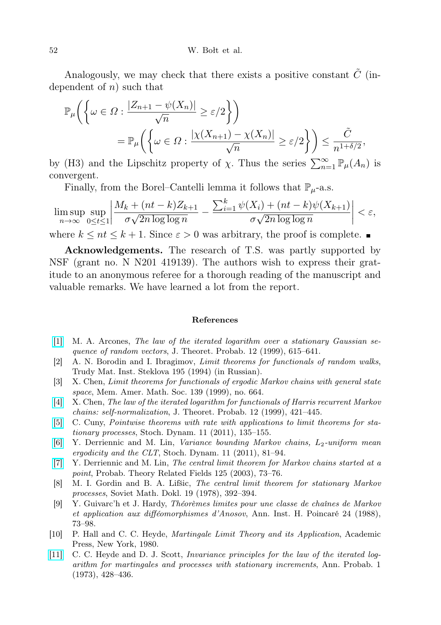Analogously, we may check that there exists a positive constant  $\hat{C}$  (independent of  $n$ ) such that

$$
\mathbb{P}_{\mu}\left(\left\{\omega \in \Omega : \frac{|Z_{n+1} - \psi(X_n)|}{\sqrt{n}} \ge \varepsilon/2\right\}\right)
$$
  
= 
$$
\mathbb{P}_{\mu}\left(\left\{\omega \in \Omega : \frac{|\chi(X_{n+1}) - \chi(X_n)|}{\sqrt{n}} \ge \varepsilon/2\right\}\right) \le \frac{\tilde{C}}{n^{1+\delta/2}},
$$

by (H3) and the Lipschitz property of  $\chi$ . Thus the series  $\sum_{n=1}^{\infty} \mathbb{P}_{\mu}(A_n)$  is convergent.

Finally, from the Borel–Cantelli lemma it follows that  $\mathbb{P}_{\mu}$ -a.s.

$$
\limsup_{n \to \infty} \sup_{0 \le t \le 1} \left| \frac{M_k + (nt - k)Z_{k+1}}{\sigma \sqrt{2n \log \log n}} - \frac{\sum_{i=1}^k \psi(X_i) + (nt - k)\psi(X_{k+1})}{\sigma \sqrt{2n \log \log n}} \right| < \varepsilon,
$$

where  $k \leq nt \leq k+1$ . Since  $\varepsilon > 0$  was arbitrary, the proof is complete.

Acknowledgements. The research of T.S. was partly supported by NSF (grant no. N N201 419139). The authors wish to express their gratitude to an anonymous referee for a thorough reading of the manuscript and valuable remarks. We have learned a lot from the report.

## References

- <span id="page-11-6"></span>[\[1\]](http://dx.doi.org/10.1023/A:1021667529846) M. A. Arcones, The law of the iterated logarithm over a stationary Gaussian sequence of random vectors, J. Theoret. Probab. 12 (1999), 615–641.
- <span id="page-11-0"></span>[2] A. N. Borodin and I. Ibragimov, Limit theorems for functionals of random walks, Trudy Mat. Inst. Steklova 195 (1994) (in Russian).
- <span id="page-11-4"></span>[3] X. Chen, Limit theorems for functionals of ergodic Markov chains with general state space, Mem. Amer. Math. Soc. 139 (1999), no. 664.
- <span id="page-11-5"></span>[\[4\]](http://dx.doi.org/10.1023/A:1021630228280) X. Chen, The law of the iterated logarithm for functionals of Harris recurrent Markov chains: self-normalization, J. Theoret. Probab. 12 (1999), 421–445.
- <span id="page-11-7"></span>[\[5\]](http://dx.doi.org/10.1142/S0219493711003206) C. Cuny, Pointwise theorems with rate with applications to limit theorems for stationary processes, Stoch. Dynam. 11 (2011), 135–155.
- <span id="page-11-1"></span>[\[6\]](http://dx.doi.org/10.1142/S0219493711003176) Y. Derriennic and M. Lin, *Variance bounding Markov chains*,  $L_2$ -uniform mean ergodicity and the CLT, Stoch. Dynam. 11 (2011), 81–94.
- <span id="page-11-2"></span>[\[7\]](http://dx.doi.org/10.1007/s004400200215) Y. Derriennic and M. Lin, The central limit theorem for Markov chains started at a point, Probab. Theory Related Fields 125 (2003), 73–76.
- <span id="page-11-8"></span>[8] M. I. Gordin and B. A. Lifšic, The central limit theorem for stationary Markov processes, Soviet Math. Dokl. 19 (1978), 392–394.
- <span id="page-11-3"></span>[9] Y. Guivarc'h et J. Hardy, Théorèmes limites pour une classe de chaînes de Markov et application aux difféomorphismes d'Anosov, Ann. Inst. H. Poincaré 24 (1988), 73–98.
- <span id="page-11-10"></span>[10] P. Hall and C. C. Heyde, Martingale Limit Theory and its Application, Academic Press, New York, 1980.
- <span id="page-11-9"></span>[\[11\]](http://dx.doi.org/10.1214/aop/1176996937) C. C. Heyde and D. J. Scott, Invariance principles for the law of the iterated logarithm for martingales and processes with stationary increments, Ann. Probab. 1 (1973), 428–436.